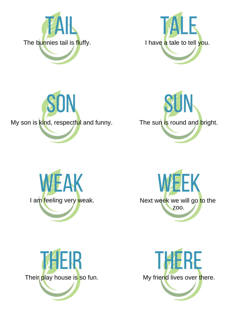













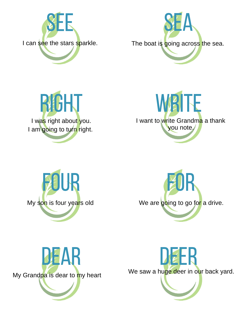

I can see the stars sparkle. The boat is going across the sea.











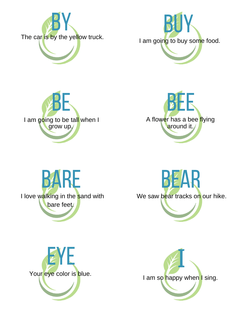













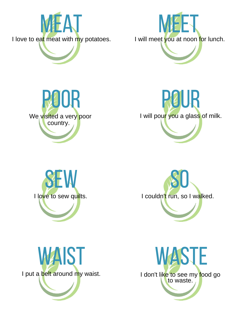













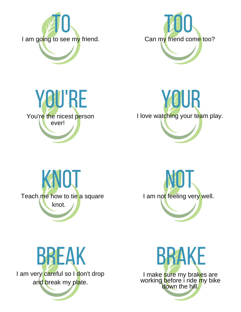













I make sure my brakes are working before i ride <mark>m</mark>y bike down the hill.